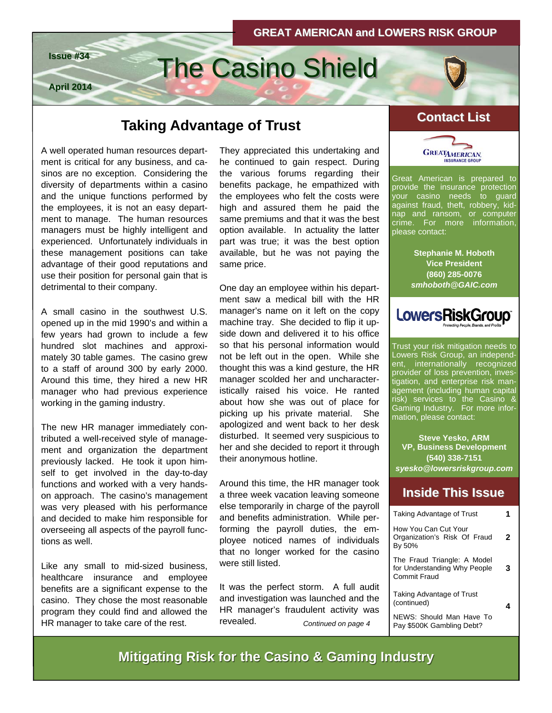



## **Taking Advantage of Trust Contact List**

A well operated human resources department is critical for any business, and casinos are no exception. Considering the diversity of departments within a casino and the unique functions performed by the employees, it is not an easy department to manage. The human resources managers must be highly intelligent and experienced. Unfortunately individuals in these management positions can take advantage of their good reputations and use their position for personal gain that is detrimental to their company.

A small casino in the southwest U.S. opened up in the mid 1990's and within a few years had grown to include a few hundred slot machines and approximately 30 table games. The casino grew to a staff of around 300 by early 2000. Around this time, they hired a new HR manager who had previous experience working in the gaming industry.

The new HR manager immediately contributed a well-received style of management and organization the department previously lacked. He took it upon himself to get involved in the day-to-day functions and worked with a very handson approach. The casino's management was very pleased with his performance and decided to make him responsible for overseeing all aspects of the payroll functions as well.

Like any small to mid-sized business, healthcare insurance and employee benefits are a significant expense to the casino. They chose the most reasonable program they could find and allowed the HR manager to take care of the rest.

They appreciated this undertaking and he continued to gain respect. During the various forums regarding their benefits package, he empathized with the employees who felt the costs were high and assured them he paid the same premiums and that it was the best option available. In actuality the latter part was true; it was the best option available, but he was not paying the same price.

One day an employee within his department saw a medical bill with the HR manager's name on it left on the copy machine tray. She decided to flip it upside down and delivered it to his office so that his personal information would not be left out in the open. While she thought this was a kind gesture, the HR manager scolded her and uncharacteristically raised his voice. He ranted about how she was out of place for picking up his private material. She apologized and went back to her desk disturbed. It seemed very suspicious to her and she decided to report it through their anonymous hotline.

Around this time, the HR manager took a three week vacation leaving someone else temporarily in charge of the payroll and benefits administration. While performing the payroll duties, the employee noticed names of individuals that no longer worked for the casino were still listed.

It was the perfect storm. A full audit and investigation was launched and the HR manager's fraudulent activity was revealed. *Continued on page 4* 



Great American is prepared to provide the insurance protection your casino needs to guard against fraud, theft, robbery, kidnap and ransom, or computer crime. For more information, please contact:

> **Stephanie M. Hoboth Vice President (860) 285-0076**  *smhoboth@GAIC.com*



Trust your risk mitigation needs to Lowers Risk Group, an independent, internationally recognized provider of loss prevention, investigation, and enterprise risk management (including human capital risk) services to the Casino & Gaming Industry. For more information, please contact:

**Steve Yesko, ARM VP, Business Development (540) 338-7151**  *syesko@lowersriskgroup.com* 

### **Inside This Issue Inside This Issue**

| <b>Taking Advantage of Trust</b>                                            |   |
|-----------------------------------------------------------------------------|---|
| How You Can Cut Your<br>Organization's Risk Of Fraud<br>By 50%              | 2 |
| The Fraud Triangle: A Model<br>for Understanding Why People<br>Commit Fraud | 3 |
| Taking Advantage of Trust<br>(continued)                                    | 4 |
| NEWS: Should Man Have To<br>Pay \$500K Gambling Debt?                       |   |

**Mitigating Risk for the Casino & Gaming Industry Mitigating Risk for the Casino & Gaming Industry**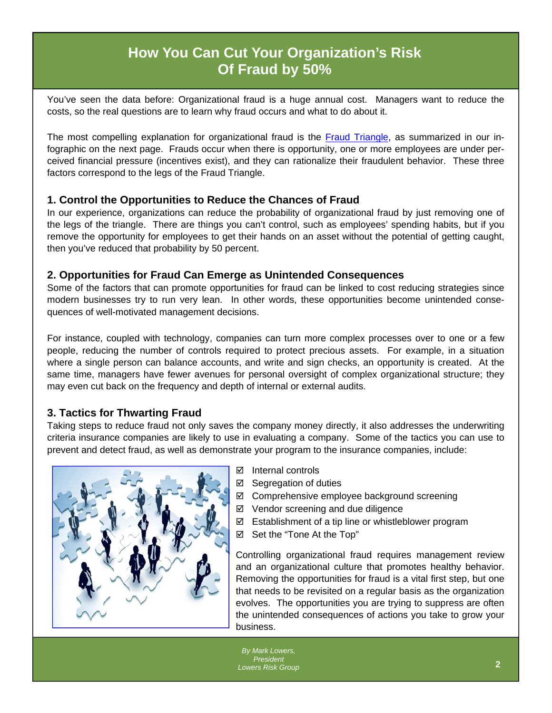### **How You Can Cut Your Organization's Risk Of Fraud by 50%**

You've seen the data before: Organizational fraud is a huge annual cost. Managers want to reduce the costs, so the real questions are to learn why fraud occurs and what to do about it.

The most compelling explanation for organizational fraud is the [Fraud Triangle,](http://www.lowersriskgroup.com/files/LRG-Fraud-Triangle-FINAL.jpg) as summarized in our infographic on the next page. Frauds occur when there is opportunity, one or more employees are under perceived financial pressure (incentives exist), and they can rationalize their fraudulent behavior. These three factors correspond to the legs of the Fraud Triangle.

#### **1. Control the Opportunities to Reduce the Chances of Fraud**

In our experience, organizations can reduce the probability of organizational fraud by just removing one of the legs of the triangle. There are things you can't control, such as employees' spending habits, but if you remove the opportunity for employees to get their hands on an asset without the potential of getting caught, then you've reduced that probability by 50 percent.

#### **2. Opportunities for Fraud Can Emerge as Unintended Consequences**

Some of the factors that can promote opportunities for fraud can be linked to cost reducing strategies since modern businesses try to run very lean. In other words, these opportunities become unintended consequences of well-motivated management decisions.

For instance, coupled with technology, companies can turn more complex processes over to one or a few people, reducing the number of controls required to protect precious assets. For example, in a situation where a single person can balance accounts, and write and sign checks, an opportunity is created. At the same time, managers have fewer avenues for personal oversight of complex organizational structure; they may even cut back on the frequency and depth of internal or external audits.

### **3. Tactics for Thwarting Fraud**

Taking steps to reduce fraud not only saves the company money directly, it also addresses the underwriting criteria insurance companies are likely to use in evaluating a company. Some of the tactics you can use to prevent and detect fraud, as well as demonstrate your program to the insurance companies, include:



- $\boxtimes$  Internal controls
- $\boxtimes$  Segregation of duties
- Comprehensive employee background screening
- $\boxtimes$  Vendor screening and due diligence
- $\boxtimes$  Establishment of a tip line or whistleblower program
- Set the "Tone At the Top"

Controlling organizational fraud requires management review and an organizational culture that promotes healthy behavior. Removing the opportunities for fraud is a vital first step, but one that needs to be revisited on a regular basis as the organization evolves. The opportunities you are trying to suppress are often the unintended consequences of actions you take to grow your business.

*By Mark Lowers, P[resident](http://www.lowersriskgroup.com/news/index.php?id=11)  Lowers Risk Group*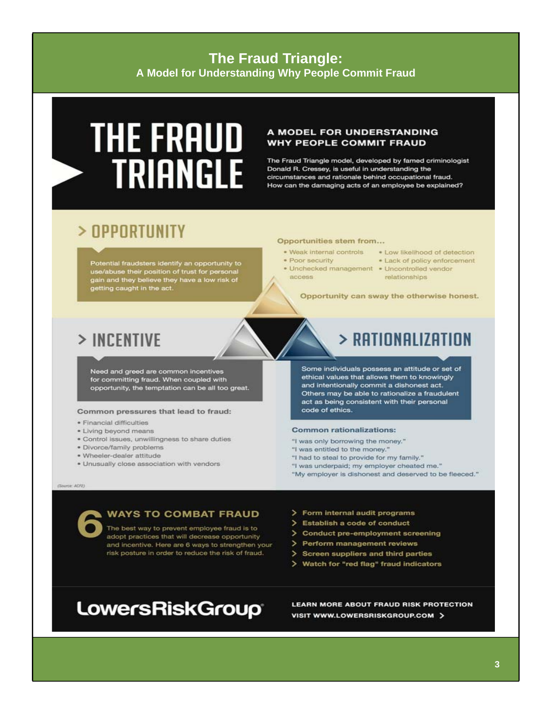### **The Fraud Triangle:** A Model for Understanding Why People Commit Fraud

# **THE FRAUD TRIANGLE**

#### A MODEL FOR UNDERSTANDING **WHY PEOPLE COMMIT FRAUD**

The Fraud Triangle model, developed by famed criminologist Donald R. Cressey, is useful in understanding the circumstances and rationale behind occupational fraud. How can the damaging acts of an employee be explained?

### > OPPORTUNITY

Potential fraudsters identify an opportunity to use/abuse their position of trust for personal<br>gain and they believe they have a low risk of<br>getting caught in the act.

#### Opportunities stem from...

- · Weak internal controls
- · Poor security
- · Unchecked management · Uncontrolled vendor access.
- . Low likelihood of detection
- . Lack of policy enforcement
	- relationships

Opportunity can sway the otherwise honest.

### > INCENTIVE

Need and greed are common incentives for committing fraud. When coupled with opportunity, the temptation can be all too great.

#### Common pressures that lead to fraud:

- · Financial difficulties
- . Living beyond means
- · Control issues, unwillingness to share duties
- · Divorce/family problems
- · Wheeler-dealer attitude
- · Unusually close association with vendors

### $>$  RATIONALIZATION

Some individuals possess an attitude or set of ethical values that allows them to knowingly and intentionally commit a dishonest act. Others may be able to rationalize a fraudulent act as being consistent with their personal code of ethics.

#### **Common rationalizations:**

- "I was only borrowing the money."
- "I was entitled to the money."
- "I had to steal to provide for my family."
- "I was underpaid; my employer cheated me."
- "My employer is dishonest and deserved to be fleeced."

(Source: ACFE)

#### **WAYS TO COMBAT FRAUD**

The best way to prevent employee fraud is to adopt practices that will decrease opportunity and incentive. Here are 6 ways to strengthen your risk posture in order to reduce the risk of fraud.

- > Form internal audit programs
- > Establish a code of conduct
- > Conduct pre-employment screening
- > Perform management reviews
- > Screen suppliers and third parties
- > Watch for "red flag" fraud indicators

### **LowersRiskGroup**

LEARN MORE ABOUT FRAUD RISK PROTECTION VISIT WWW.LOWERSRISKGROUP.COM >